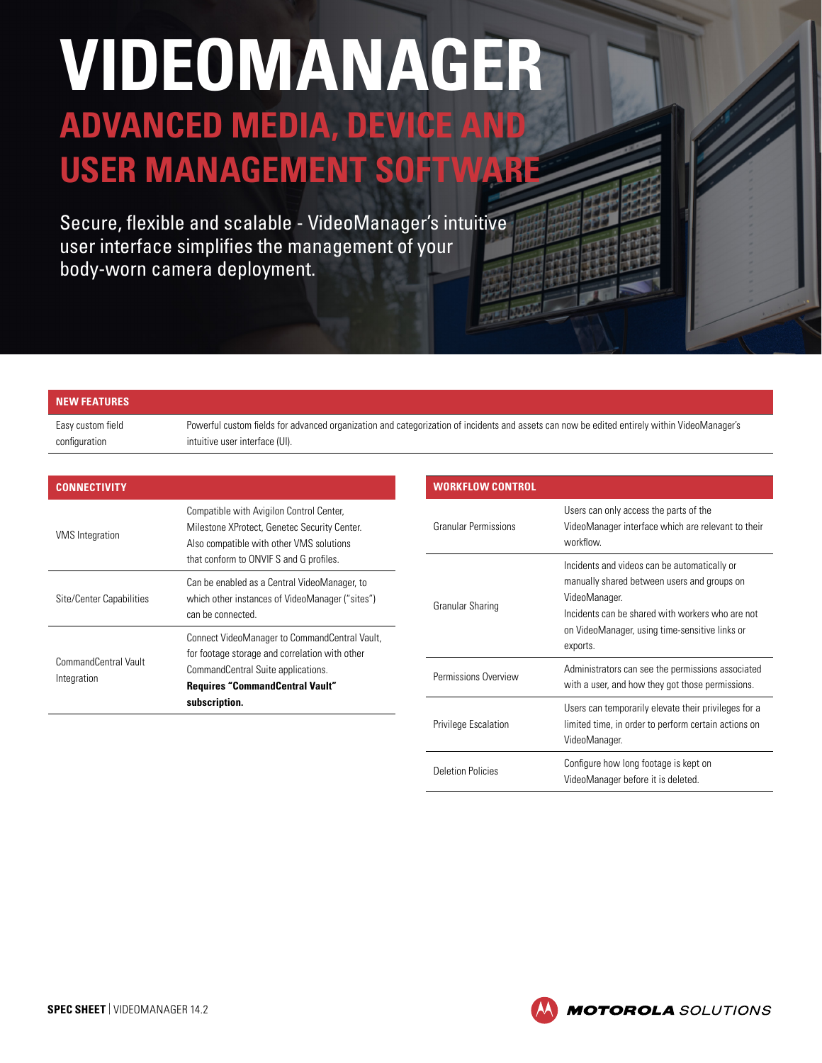# **VIDEOMANAGER ADVANCED MEDIA, DEVICE AND**

**USER MANAGEMENT SOFTWARE**

Secure, flexible and scalable - VideoManager's intuitive user interface simplifies the management of your body-worn camera deployment.

#### **NEW FEATURES**

Easy custom field configuration

Powerful custom fields for advanced organization and categorization of incidents and assets can now be edited entirely within VideoManager's intuitive user interface (UI).

| <b>CONNECTIVITY</b>                 |                                                                                                                                                                                                  |
|-------------------------------------|--------------------------------------------------------------------------------------------------------------------------------------------------------------------------------------------------|
| <b>VMS</b> Integration              | Compatible with Avigilon Control Center,<br>Milestone XProtect, Genetec Security Center.<br>Also compatible with other VMS solutions<br>that conform to ONVIF S and G profiles.                  |
| Site/Center Capabilities            | Can be enabled as a Central VideoManager, to<br>which other instances of VideoManager ("sites")<br>can be connected.                                                                             |
| CommandCentral Vault<br>Integration | Connect VideoManager to CommandCentral Vault,<br>for footage storage and correlation with other<br>CommandCentral Suite applications.<br><b>Requires "CommandCentral Vault"</b><br>subscription. |

| <b>WORKFLOW CONTROL</b>     |                                                                                                                                                                                                                                |
|-----------------------------|--------------------------------------------------------------------------------------------------------------------------------------------------------------------------------------------------------------------------------|
| Granular Permissions        | Users can only access the parts of the<br>VideoManager interface which are relevant to their<br>workflow.                                                                                                                      |
| Granular Sharing            | Incidents and videos can be automatically or<br>manually shared between users and groups on<br>VideoManager.<br>Incidents can be shared with workers who are not<br>on VideoManager, using time-sensitive links or<br>exports. |
| Permissions Overview        | Administrators can see the permissions associated<br>with a user, and how they got those permissions.                                                                                                                          |
| <b>Privilege Escalation</b> | Users can temporarily elevate their privileges for a<br>limited time, in order to perform certain actions on<br>VideoManager.                                                                                                  |
| <b>Deletion Policies</b>    | Configure how long footage is kept on<br>VideoManager before it is deleted.                                                                                                                                                    |